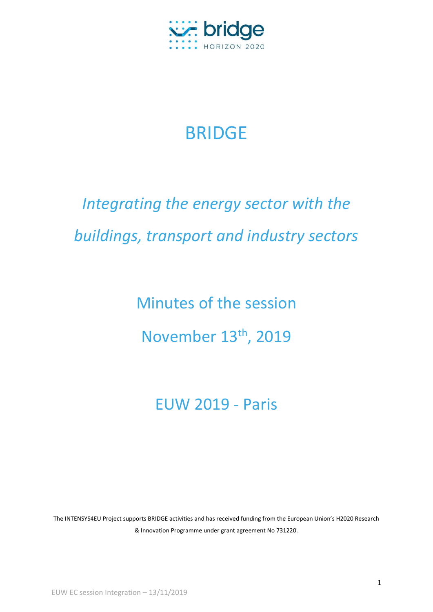

# BRIDGE

# *Integrating the energy sector with the buildings, transport and industry sectors*

Minutes of the session November 13th, 2019

## EUW 2019 - Paris

The INTENSYS4EU Project supports BRIDGE activities and has received funding from the European Union's H2020 Research & Innovation Programme under grant agreement No 731220.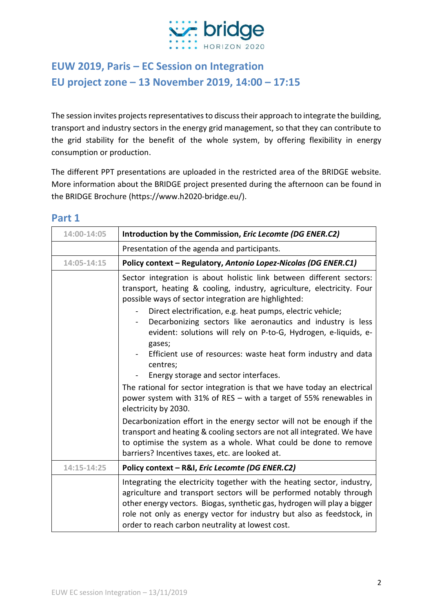

## **EUW 2019, Paris – EC Session on Integration EU project zone – 13 November 2019, 14:00 – 17:15**

The session invites projects representatives to discuss their approach to integrate the building, transport and industry sectors in the energy grid management, so that they can contribute to the grid stability for the benefit of the whole system, by offering flexibility in energy consumption or production.

The different PPT presentations are uploaded in the restricted area of the BRIDGE website. More information about the BRIDGE project presented during the afternoon can be found in the BRIDGE Brochure (https://www.h2020-bridge.eu/).

| 14:00-14:05 | Introduction by the Commission, Eric Lecomte (DG ENER.C2)                                                                                                                                                                                                                                                                                                                                                                                                                                                                                                                                                                                                                                                                                                                               |
|-------------|-----------------------------------------------------------------------------------------------------------------------------------------------------------------------------------------------------------------------------------------------------------------------------------------------------------------------------------------------------------------------------------------------------------------------------------------------------------------------------------------------------------------------------------------------------------------------------------------------------------------------------------------------------------------------------------------------------------------------------------------------------------------------------------------|
|             | Presentation of the agenda and participants.                                                                                                                                                                                                                                                                                                                                                                                                                                                                                                                                                                                                                                                                                                                                            |
| 14:05-14:15 | Policy context - Regulatory, Antonio Lopez-Nicolas (DG ENER.C1)                                                                                                                                                                                                                                                                                                                                                                                                                                                                                                                                                                                                                                                                                                                         |
|             | Sector integration is about holistic link between different sectors:<br>transport, heating & cooling, industry, agriculture, electricity. Four<br>possible ways of sector integration are highlighted:<br>Direct electrification, e.g. heat pumps, electric vehicle;<br>Decarbonizing sectors like aeronautics and industry is less<br>evident: solutions will rely on P-to-G, Hydrogen, e-liquids, e-<br>gases;<br>Efficient use of resources: waste heat form industry and data<br>centres;<br>Energy storage and sector interfaces.<br>The rational for sector integration is that we have today an electrical<br>power system with 31% of RES - with a target of 55% renewables in<br>electricity by 2030.<br>Decarbonization effort in the energy sector will not be enough if the |
|             | transport and heating & cooling sectors are not all integrated. We have<br>to optimise the system as a whole. What could be done to remove<br>barriers? Incentives taxes, etc. are looked at.                                                                                                                                                                                                                                                                                                                                                                                                                                                                                                                                                                                           |
| 14:15-14:25 | Policy context - R&I, Eric Lecomte (DG ENER.C2)                                                                                                                                                                                                                                                                                                                                                                                                                                                                                                                                                                                                                                                                                                                                         |
|             | Integrating the electricity together with the heating sector, industry,<br>agriculture and transport sectors will be performed notably through<br>other energy vectors. Biogas, synthetic gas, hydrogen will play a bigger<br>role not only as energy vector for industry but also as feedstock, in<br>order to reach carbon neutrality at lowest cost.                                                                                                                                                                                                                                                                                                                                                                                                                                 |

#### **Part 1**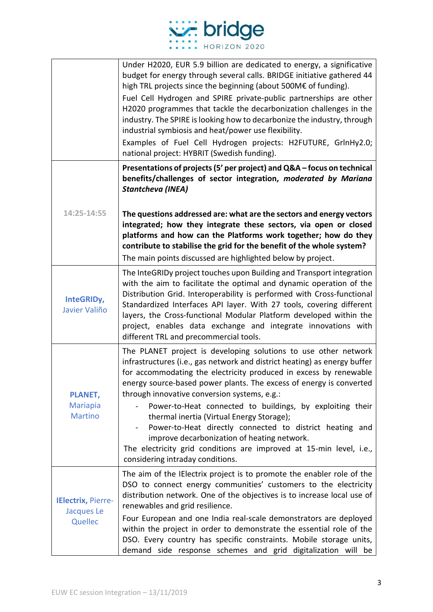

|                                                     | Under H2020, EUR 5.9 billion are dedicated to energy, a significative<br>budget for energy through several calls. BRIDGE initiative gathered 44<br>high TRL projects since the beginning (about 500M€ of funding).<br>Fuel Cell Hydrogen and SPIRE private-public partnerships are other<br>H2020 programmes that tackle the decarbonization challenges in the<br>industry. The SPIRE is looking how to decarbonize the industry, through<br>industrial symbiosis and heat/power use flexibility.<br>Examples of Fuel Cell Hydrogen projects: H2FUTURE, GrlnHy2.0;<br>national project: HYBRIT (Swedish funding).                                                        |
|-----------------------------------------------------|--------------------------------------------------------------------------------------------------------------------------------------------------------------------------------------------------------------------------------------------------------------------------------------------------------------------------------------------------------------------------------------------------------------------------------------------------------------------------------------------------------------------------------------------------------------------------------------------------------------------------------------------------------------------------|
| 14:25-14:55                                         | Presentations of projects (5' per project) and Q&A - focus on technical<br>benefits/challenges of sector integration, moderated by Mariana<br>Stantcheva (INEA)<br>The questions addressed are: what are the sectors and energy vectors<br>integrated; how they integrate these sectors, via open or closed<br>platforms and how can the Platforms work together; how do they<br>contribute to stabilise the grid for the benefit of the whole system?<br>The main points discussed are highlighted below by project.                                                                                                                                                    |
| InteGRIDy,<br>Javier Valiño                         | The InteGRIDy project touches upon Building and Transport integration<br>with the aim to facilitate the optimal and dynamic operation of the<br>Distribution Grid. Interoperability is performed with Cross-functional<br>Standardized Interfaces API layer. With 27 tools, covering different<br>layers, the Cross-functional Modular Platform developed within the<br>project, enables data exchange and integrate innovations with<br>different TRL and precommercial tools.                                                                                                                                                                                          |
| <b>PLANET,</b><br><b>Mariapia</b><br><b>Martino</b> | The PLANET project is developing solutions to use other network<br>infrastructures (i.e., gas network and district heating) as energy buffer<br>for accommodating the electricity produced in excess by renewable<br>energy source-based power plants. The excess of energy is converted<br>through innovative conversion systems, e.g.:<br>Power-to-Heat connected to buildings, by exploiting their<br>thermal inertia (Virtual Energy Storage);<br>Power-to-Heat directly connected to district heating and<br>improve decarbonization of heating network.<br>The electricity grid conditions are improved at 15-min level, i.e.,<br>considering intraday conditions. |
| IElectrix, Pierre-<br>Jacques Le<br>Quellec         | The aim of the IElectrix project is to promote the enabler role of the<br>DSO to connect energy communities' customers to the electricity<br>distribution network. One of the objectives is to increase local use of<br>renewables and grid resilience.<br>Four European and one India real-scale demonstrators are deployed<br>within the project in order to demonstrate the essential role of the<br>DSO. Every country has specific constraints. Mobile storage units,<br>demand side response schemes and grid digitalization will be                                                                                                                               |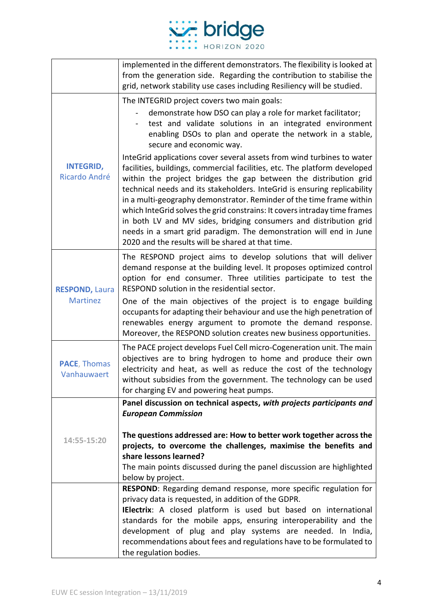

|                                          | implemented in the different demonstrators. The flexibility is looked at<br>from the generation side. Regarding the contribution to stabilise the<br>grid, network stability use cases including Resiliency will be studied.                                                                                                                                                                                                                                                                                                                                                                                                                             |
|------------------------------------------|----------------------------------------------------------------------------------------------------------------------------------------------------------------------------------------------------------------------------------------------------------------------------------------------------------------------------------------------------------------------------------------------------------------------------------------------------------------------------------------------------------------------------------------------------------------------------------------------------------------------------------------------------------|
|                                          | The INTEGRID project covers two main goals:                                                                                                                                                                                                                                                                                                                                                                                                                                                                                                                                                                                                              |
| <b>INTEGRID,</b><br>Ricardo André        | demonstrate how DSO can play a role for market facilitator;<br>test and validate solutions in an integrated environment<br>enabling DSOs to plan and operate the network in a stable,<br>secure and economic way.                                                                                                                                                                                                                                                                                                                                                                                                                                        |
|                                          | InteGrid applications cover several assets from wind turbines to water<br>facilities, buildings, commercial facilities, etc. The platform developed<br>within the project bridges the gap between the distribution grid<br>technical needs and its stakeholders. InteGrid is ensuring replicability<br>in a multi-geography demonstrator. Reminder of the time frame within<br>which InteGrid solves the grid constrains: It covers intraday time frames<br>in both LV and MV sides, bridging consumers and distribution grid<br>needs in a smart grid paradigm. The demonstration will end in June<br>2020 and the results will be shared at that time. |
| <b>RESPOND, Laura</b><br><b>Martinez</b> | The RESPOND project aims to develop solutions that will deliver<br>demand response at the building level. It proposes optimized control<br>option for end consumer. Three utilities participate to test the<br>RESPOND solution in the residential sector.                                                                                                                                                                                                                                                                                                                                                                                               |
|                                          | One of the main objectives of the project is to engage building<br>occupants for adapting their behaviour and use the high penetration of<br>renewables energy argument to promote the demand response.<br>Moreover, the RESPOND solution creates new business opportunities.                                                                                                                                                                                                                                                                                                                                                                            |
| <b>PACE, Thomas</b><br>Vanhauwaert       | The PACE project develops Fuel Cell micro-Cogeneration unit. The main<br>objectives are to bring hydrogen to home and produce their own<br>electricity and heat, as well as reduce the cost of the technology<br>without subsidies from the government. The technology can be used<br>for charging EV and powering heat pumps.                                                                                                                                                                                                                                                                                                                           |
|                                          | Panel discussion on technical aspects, with projects participants and<br><b>European Commission</b>                                                                                                                                                                                                                                                                                                                                                                                                                                                                                                                                                      |
| 14:55-15:20                              | The questions addressed are: How to better work together across the<br>projects, to overcome the challenges, maximise the benefits and<br>share lessons learned?<br>The main points discussed during the panel discussion are highlighted<br>below by project.                                                                                                                                                                                                                                                                                                                                                                                           |
|                                          | RESPOND: Regarding demand response, more specific regulation for<br>privacy data is requested, in addition of the GDPR.                                                                                                                                                                                                                                                                                                                                                                                                                                                                                                                                  |
|                                          | IElectrix: A closed platform is used but based on international<br>standards for the mobile apps, ensuring interoperability and the<br>development of plug and play systems are needed. In India,<br>recommendations about fees and regulations have to be formulated to                                                                                                                                                                                                                                                                                                                                                                                 |
|                                          | the regulation bodies.                                                                                                                                                                                                                                                                                                                                                                                                                                                                                                                                                                                                                                   |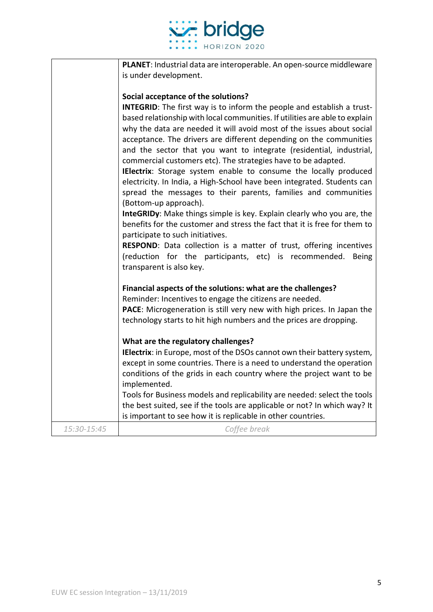

|             | PLANET: Industrial data are interoperable. An open-source middleware                                                                                                                                                                                                                                                                                                                                                                                                                                                                                                                                                                                                                                                                                                                                                                                                                                                                                                                                                                                                                                       |
|-------------|------------------------------------------------------------------------------------------------------------------------------------------------------------------------------------------------------------------------------------------------------------------------------------------------------------------------------------------------------------------------------------------------------------------------------------------------------------------------------------------------------------------------------------------------------------------------------------------------------------------------------------------------------------------------------------------------------------------------------------------------------------------------------------------------------------------------------------------------------------------------------------------------------------------------------------------------------------------------------------------------------------------------------------------------------------------------------------------------------------|
|             | is under development.                                                                                                                                                                                                                                                                                                                                                                                                                                                                                                                                                                                                                                                                                                                                                                                                                                                                                                                                                                                                                                                                                      |
|             | Social acceptance of the solutions?<br><b>INTEGRID:</b> The first way is to inform the people and establish a trust-<br>based relationship with local communities. If utilities are able to explain<br>why the data are needed it will avoid most of the issues about social<br>acceptance. The drivers are different depending on the communities<br>and the sector that you want to integrate (residential, industrial,<br>commercial customers etc). The strategies have to be adapted.<br>IElectrix: Storage system enable to consume the locally produced<br>electricity. In India, a High-School have been integrated. Students can<br>spread the messages to their parents, families and communities<br>(Bottom-up approach).<br>InteGRIDy: Make things simple is key. Explain clearly who you are, the<br>benefits for the customer and stress the fact that it is free for them to<br>participate to such initiatives.<br>RESPOND: Data collection is a matter of trust, offering incentives<br>(reduction for the participants, etc) is recommended.<br><b>Being</b><br>transparent is also key. |
|             | Financial aspects of the solutions: what are the challenges?<br>Reminder: Incentives to engage the citizens are needed.<br>PACE: Microgeneration is still very new with high prices. In Japan the<br>technology starts to hit high numbers and the prices are dropping.                                                                                                                                                                                                                                                                                                                                                                                                                                                                                                                                                                                                                                                                                                                                                                                                                                    |
|             | What are the regulatory challenges?<br>IElectrix: in Europe, most of the DSOs cannot own their battery system,<br>except in some countries. There is a need to understand the operation<br>conditions of the grids in each country where the project want to be<br>implemented.<br>Tools for Business models and replicability are needed: select the tools<br>the best suited, see if the tools are applicable or not? In which way? It<br>is important to see how it is replicable in other countries.                                                                                                                                                                                                                                                                                                                                                                                                                                                                                                                                                                                                   |
| 15:30-15:45 | Coffee break                                                                                                                                                                                                                                                                                                                                                                                                                                                                                                                                                                                                                                                                                                                                                                                                                                                                                                                                                                                                                                                                                               |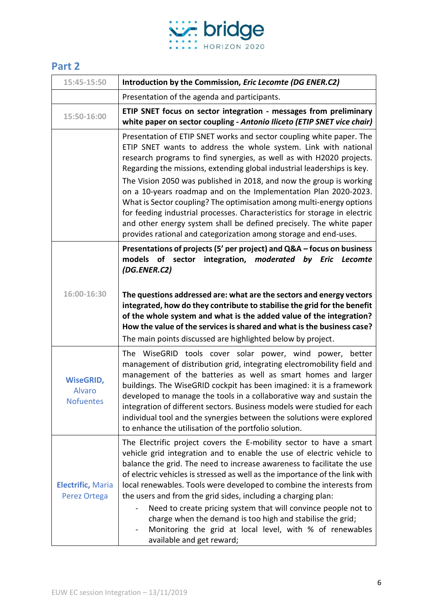

### **Part 2**

| 15:45-15:50                                           | Introduction by the Commission, Eric Lecomte (DG ENER.C2)                                                                                                                                                                                                                                                                                                                                                                                                                                                                                                                                                                                                                                                                            |
|-------------------------------------------------------|--------------------------------------------------------------------------------------------------------------------------------------------------------------------------------------------------------------------------------------------------------------------------------------------------------------------------------------------------------------------------------------------------------------------------------------------------------------------------------------------------------------------------------------------------------------------------------------------------------------------------------------------------------------------------------------------------------------------------------------|
|                                                       | Presentation of the agenda and participants.                                                                                                                                                                                                                                                                                                                                                                                                                                                                                                                                                                                                                                                                                         |
| 15:50-16:00                                           | ETIP SNET focus on sector integration - messages from preliminary<br>white paper on sector coupling - Antonio Iliceto (ETIP SNET vice chair)                                                                                                                                                                                                                                                                                                                                                                                                                                                                                                                                                                                         |
|                                                       | Presentation of ETIP SNET works and sector coupling white paper. The<br>ETIP SNET wants to address the whole system. Link with national<br>research programs to find synergies, as well as with H2020 projects.<br>Regarding the missions, extending global industrial leaderships is key.<br>The Vision 2050 was published in 2018, and now the group is working<br>on a 10-years roadmap and on the Implementation Plan 2020-2023.<br>What is Sector coupling? The optimisation among multi-energy options<br>for feeding industrial processes. Characteristics for storage in electric<br>and other energy system shall be defined precisely. The white paper<br>provides rational and categorization among storage and end-uses. |
|                                                       | Presentations of projects (5' per project) and Q&A - focus on business<br>models of sector integration, moderated<br>by Eric<br>Lecomte<br>(DG.ENER.C2)                                                                                                                                                                                                                                                                                                                                                                                                                                                                                                                                                                              |
| 16:00-16:30                                           | The questions addressed are: what are the sectors and energy vectors<br>integrated, how do they contribute to stabilise the grid for the benefit<br>of the whole system and what is the added value of the integration?<br>How the value of the services is shared and what is the business case?<br>The main points discussed are highlighted below by project.                                                                                                                                                                                                                                                                                                                                                                     |
| <b>WiseGRID,</b><br><b>Alvaro</b><br><b>Nofuentes</b> | The WiseGRID tools cover solar power, wind power, better<br>management of distribution grid, integrating electromobility field and<br>management of the batteries as well as smart homes and larger<br>buildings. The WiseGRID cockpit has been imagined: it is a framework<br>developed to manage the tools in a collaborative way and sustain the<br>integration of different sectors. Business models were studied for each<br>individual tool and the synergies between the solutions were explored<br>to enhance the utilisation of the portfolio solution.                                                                                                                                                                     |
| <b>Electrific, Maria</b><br>Perez Ortega              | The Electrific project covers the E-mobility sector to have a smart<br>vehicle grid integration and to enable the use of electric vehicle to<br>balance the grid. The need to increase awareness to facilitate the use<br>of electric vehicles is stressed as well as the importance of the link with<br>local renewables. Tools were developed to combine the interests from<br>the users and from the grid sides, including a charging plan:<br>Need to create pricing system that will convince people not to<br>charge when the demand is too high and stabilise the grid;<br>Monitoring the grid at local level, with % of renewables<br>available and get reward;                                                              |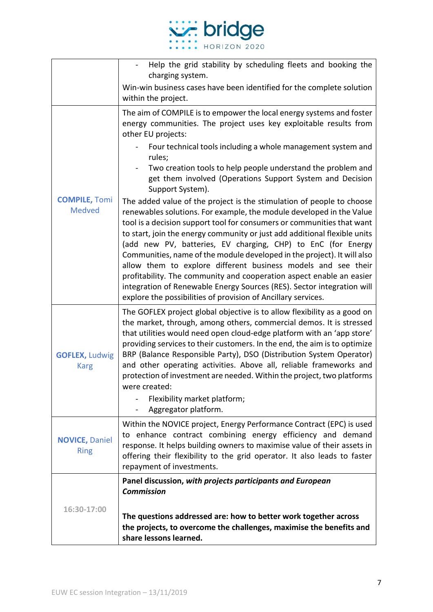

|                                       | Help the grid stability by scheduling fleets and booking the<br>charging system.                                                                                                                                                                                                                                                                                                                                                                                                                                                                                                                                                                                                                                                    |
|---------------------------------------|-------------------------------------------------------------------------------------------------------------------------------------------------------------------------------------------------------------------------------------------------------------------------------------------------------------------------------------------------------------------------------------------------------------------------------------------------------------------------------------------------------------------------------------------------------------------------------------------------------------------------------------------------------------------------------------------------------------------------------------|
|                                       | Win-win business cases have been identified for the complete solution<br>within the project.                                                                                                                                                                                                                                                                                                                                                                                                                                                                                                                                                                                                                                        |
| <b>COMPILE, Tomi</b><br><b>Medved</b> | The aim of COMPILE is to empower the local energy systems and foster<br>energy communities. The project uses key exploitable results from<br>other EU projects:<br>Four technical tools including a whole management system and<br>rules;<br>Two creation tools to help people understand the problem and<br>get them involved (Operations Support System and Decision<br>Support System).                                                                                                                                                                                                                                                                                                                                          |
|                                       | The added value of the project is the stimulation of people to choose<br>renewables solutions. For example, the module developed in the Value<br>tool is a decision support tool for consumers or communities that want<br>to start, join the energy community or just add additional flexible units<br>(add new PV, batteries, EV charging, CHP) to EnC (for Energy<br>Communities, name of the module developed in the project). It will also<br>allow them to explore different business models and see their<br>profitability. The community and cooperation aspect enable an easier<br>integration of Renewable Energy Sources (RES). Sector integration will<br>explore the possibilities of provision of Ancillary services. |
| <b>GOFLEX, Ludwig</b><br><b>Karg</b>  | The GOFLEX project global objective is to allow flexibility as a good on<br>the market, through, among others, commercial demos. It is stressed<br>that utilities would need open cloud-edge platform with an 'app store'<br>providing services to their customers. In the end, the aim is to optimize<br>BRP (Balance Responsible Party), DSO (Distribution System Operator)<br>and other operating activities. Above all, reliable frameworks and<br>protection of investment are needed. Within the project, two platforms<br>were created:<br>Flexibility market platform;<br>Aggregator platform.                                                                                                                              |
| <b>NOVICE, Daniel</b><br><b>Ring</b>  | Within the NOVICE project, Energy Performance Contract (EPC) is used<br>to enhance contract combining energy efficiency and demand<br>response. It helps building owners to maximise value of their assets in<br>offering their flexibility to the grid operator. It also leads to faster<br>repayment of investments.                                                                                                                                                                                                                                                                                                                                                                                                              |
| 16:30-17:00                           | Panel discussion, with projects participants and European<br><b>Commission</b>                                                                                                                                                                                                                                                                                                                                                                                                                                                                                                                                                                                                                                                      |
|                                       | The questions addressed are: how to better work together across<br>the projects, to overcome the challenges, maximise the benefits and<br>share lessons learned.                                                                                                                                                                                                                                                                                                                                                                                                                                                                                                                                                                    |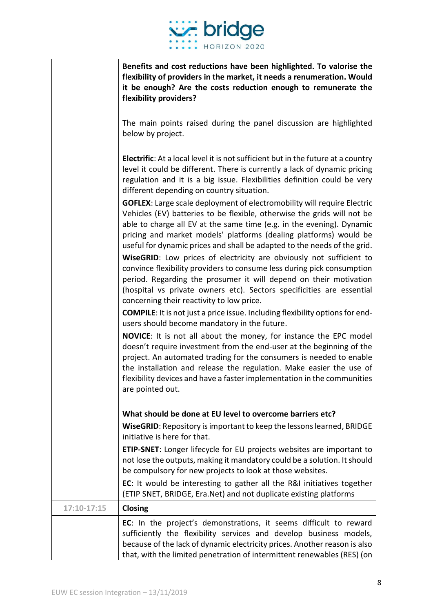

|             | Benefits and cost reductions have been highlighted. To valorise the<br>flexibility of providers in the market, it needs a renumeration. Would<br>it be enough? Are the costs reduction enough to remunerate the<br>flexibility providers?                                                                                                                                                     |
|-------------|-----------------------------------------------------------------------------------------------------------------------------------------------------------------------------------------------------------------------------------------------------------------------------------------------------------------------------------------------------------------------------------------------|
|             | The main points raised during the panel discussion are highlighted<br>below by project.                                                                                                                                                                                                                                                                                                       |
|             | <b>Electrific:</b> At a local level it is not sufficient but in the future at a country<br>level it could be different. There is currently a lack of dynamic pricing<br>regulation and it is a big issue. Flexibilities definition could be very<br>different depending on country situation.                                                                                                 |
|             | <b>GOFLEX:</b> Large scale deployment of electromobility will require Electric<br>Vehicles (EV) batteries to be flexible, otherwise the grids will not be<br>able to charge all EV at the same time (e.g. in the evening). Dynamic<br>pricing and market models' platforms (dealing platforms) would be<br>useful for dynamic prices and shall be adapted to the needs of the grid.           |
|             | WiseGRID: Low prices of electricity are obviously not sufficient to<br>convince flexibility providers to consume less during pick consumption<br>period. Regarding the prosumer it will depend on their motivation<br>(hospital vs private owners etc). Sectors specificities are essential<br>concerning their reactivity to low price.                                                      |
|             | <b>COMPILE:</b> It is not just a price issue. Including flexibility options for end-<br>users should become mandatory in the future.                                                                                                                                                                                                                                                          |
|             | <b>NOVICE:</b> It is not all about the money, for instance the EPC model<br>doesn't require investment from the end-user at the beginning of the<br>project. An automated trading for the consumers is needed to enable<br>the installation and release the regulation. Make easier the use of<br>flexibility devices and have a faster implementation in the communities<br>are pointed out. |
|             | What should be done at EU level to overcome barriers etc?                                                                                                                                                                                                                                                                                                                                     |
|             | <b>WiseGRID:</b> Repository is important to keep the lessons learned, BRIDGE<br>initiative is here for that.                                                                                                                                                                                                                                                                                  |
|             | ETIP-SNET: Longer lifecycle for EU projects websites are important to<br>not lose the outputs, making it mandatory could be a solution. It should<br>be compulsory for new projects to look at those websites.                                                                                                                                                                                |
|             | EC: It would be interesting to gather all the R&I initiatives together<br>(ETIP SNET, BRIDGE, Era.Net) and not duplicate existing platforms                                                                                                                                                                                                                                                   |
| 17:10-17:15 | Closing                                                                                                                                                                                                                                                                                                                                                                                       |
|             | EC: In the project's demonstrations, it seems difficult to reward<br>sufficiently the flexibility services and develop business models,<br>because of the lack of dynamic electricity prices. Another reason is also<br>that, with the limited penetration of intermittent renewables (RES) (on                                                                                               |